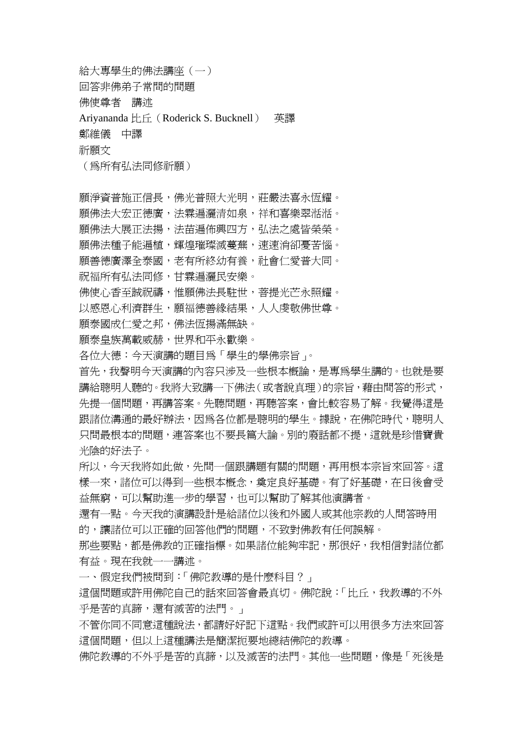給大專學生的佛法講座(一) 回答非佛弟子常問的問題 佛使尊者 講述 Ariyananda 比丘(Roderick S. Bucknell) 英譯 鄭維儀 中譯 祈願文

(為所有弘法同修祈願)

願淨資普施正信長,佛光普照大光明,莊嚴法喜永恆耀。

願佛法大宏正德廣,法霖遍灑清如泉,祥和喜樂翠湉湉。

願佛法大展正法揚,法苗遍佈興四方,弘法之處皆榮榮。

願佛法種子能遍植,輝煌璀璨滅蔓蕪,速速消卻憂苦惱。

願善德廣澤全泰國,老有所終幼有養,社會仁愛普大同。

祝福所有弘法同修,甘霖遍灑民安樂。

佛使心香至誠祝禱,惟願佛法長駐世,菩提光芒永照耀。

以感恩心利濟群生,願福德善緣結果,人人虔敬佛世尊。

願泰國成仁愛之邦,佛法恆揚滿無缺。

願泰皇族萬載威赫,世界和平永歡樂。

各位大德:今天演講的題目為「學生的學佛宗旨」。

首先,我聲明今天演講的內容只涉及一些根本概論,是專為學生講的。也就是要 講給聰明人聽的。我將大致講一下佛法(或者說真理)的宗旨,藉由問答的形式, 先提一個問題,再講答案。先聽問題,再聽答案,會比較容易了解。我覺得這是 跟諸位溝通的最好辦法,因為各位都是聰明的學生。據說,在佛陀時代,聰明人 只問最根本的問題,連答案也不要長篇大論。別的廢話都不提,這就是珍惜寶貴 光陰的好法子。

所以,今天我將如此做,先問一個跟講題有關的問題,再用根本宗旨來回答。這 樣一來,諸位可以得到一些根本概念,奠定良好基礎。有了好基礎,在日後會受 益無窮,可以幫助進一步的學習,也可以幫助了解其他演講者。

還有一點。今天我的演講設計是給諸位以後和外國人或其他宗教的人問答時用 的,讓諸位可以正確的回答他們的問題,不致對佛教有任何誤解。

那些要點,都是佛教的正確指標。如果諸位能夠牢記,那很好,我相信對諸位都 有益。現在我就一一講述。

一、假定我們被問到:「佛陀教導的是什麼科目?」

這個問題或許用佛陀自己的話來回答會最真切。佛陀說:「比丘,我教導的不外 乎是苦的真諦,還有滅苦的法門。」

不管你同不同意這種說法,都請好好記下這點。我們或許可以用很多方法來回答 這個問題,但以上這種講法是簡潔扼要地總結佛陀的教導。

佛陀教導的不外乎是苦的真諦,以及滅苦的法門。其他一些問題,像是「死後是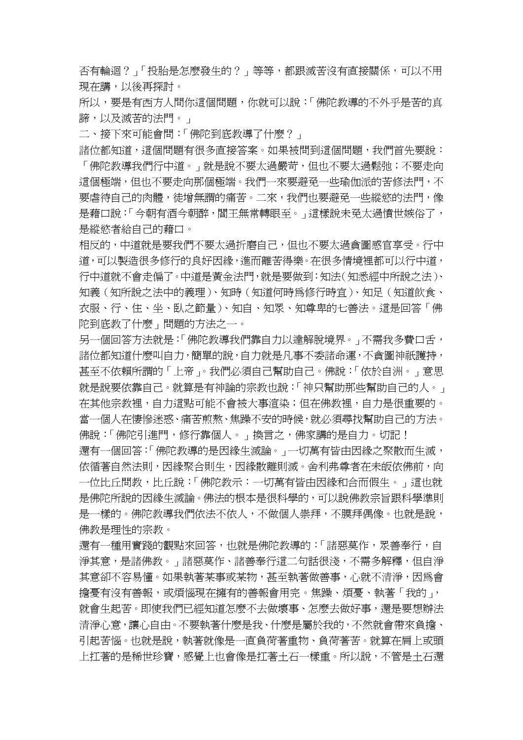否有輪迴?」「投胎是怎麼發生的?」等等,都跟滅苦沒有直接關係,可以不用 現在講,以後再探討。

所以,要是有西方人問你這個問題,你就可以說:「佛陀教導的不外乎是苦的真 諦,以及滅苦的法門。」

二、接下來可能會問:「佛陀到底教導了什麼?」

諸位都知道,這個問題有很多直接答案。如果被問到這個問題,我們首先要說: 「佛陀教導我們行中道。」就是說不要太過嚴苛,但也不要太過鬆弛;不要走向 這個極端,但也不要走向那個極端。我們一來要避免一些瑜伽派的苦修法門,不 要虐待自己的肉體,徒增無謂的痛苦。二來,我們也要避免一些縱慾的法門,像 是藉口說:「今朝有酒今朝醉,閻王無常轉眼至。」這樣說未免太過憤世嫉俗了, 是縱慾者給自己的藉口。

相反的,中道就是要我們不要太過折磨自己,但也不要太過貪圖感官享受。行中 道,可以製造很多修行的良好因緣,進而離苦得樂。在很多情境裡都可以行中道, 行中道就不會走偏了。中道是黃金法門,就是要做到:知法(知悉經中所說之法)、 知義(知所說之法中的義理)、知時(知道何時為修行時宜)、知足(知道飲食、 衣服、行、住、坐、臥之節量)、知自、知眾、知尊卑的七善法。這是回答「佛 陀到底教了什麼」問題的方法之一。

另一個回答方法就是:「佛陀教導我們靠自力以達解脫境界。」不需我多費口舌, 諸位都知道什麼叫自力,簡單的說,自力就是凡事不委諸命運,不貪圖神祇護持, 甚至不依賴所謂的「上帝」。我們必須自己幫助自己。佛說:「依於自洲。」意思 就是說要依靠自己。就算是有神論的宗教也說:「神只幫助那些幫助自己的人。」 在其他宗教裡,自力這點可能不會被大事渲染;但在佛教裡,自力是很重要的。 當一個人在悽慘迷惑、痛苦煎熬、焦躁不安的時候,就必須尋找幫助自己的方法。 佛說:「佛陀引進門,修行靠個人。」換言之,佛家講的是自力。切記! 還有一個回答:「佛陀教導的是因緣生滅論。」一切萬有皆由因緣之聚散而生滅, 依循著自然法則,因緣聚合則生,因緣散離則滅。舍利弗尊者在未皈依佛前,向 一位比丘問教,比丘說:「佛陀教示:一切萬有皆由因緣和合而假生。」這也就 是佛陀所說的因緣生滅論。佛法的根本是很科學的,可以說佛教宗旨跟科學準則 是一樣的。佛陀教導我們依法不依人,不做個人崇拜,不膜拜偶像。也就是說, 佛教是理性的宗教。

還有一種用實踐的觀點來回答,也就是佛陀教導的:「諸惡莫作,眾善奉行,自 淨其意,是諸佛教。」諸惡莫作、諸善奉行這二句話很淺,不需多解釋,但自淨 其意卻不容易懂。如果執著某事或某物,甚至執著做善事,心就不清淨,因為會 擔憂有沒有善報,或煩惱現在擁有的善報會用完。焦躁、煩憂、執著「我的」, 就會生起苦。即使我們已經知道怎麼不去做壞事、怎麼去做好事,還是要想辦法 清淨心意,讓心自由。不要執著什麼是我、什麼是屬於我的,不然就會帶來負擔、 引起苦惱。也就是說,執著就像是一直負荷著重物、負荷著苦。就算在肩上或頭 上扛著的是稀世珍寶,感覺上也會像是扛著土石一樣重。所以說,不管是土石還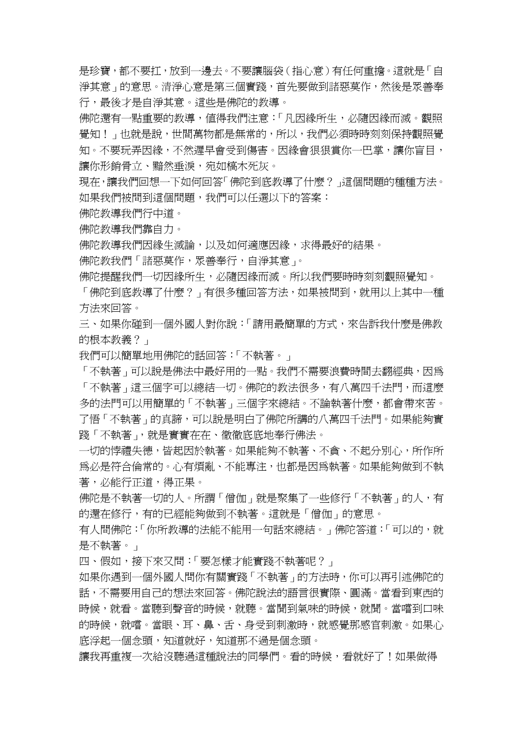是珍寶,都不要扛,放到一邊去。不要讓腦袋(指心意)有任何重擔。這就是「自 淨其意」的意思。清淨心意是第三個實踐,首先要做到諸惡莫作,然後是眾善奉 行,最後才是自淨其意。這些是佛陀的教導。

佛陀還有一點重要的教導,值得我們注意:「凡因緣所生,必隨因緣而滅。觀照 覺知!」也就是說,世間萬物都是無常的,所以,我們必須時時刻刻保持觀照覺 知。不要玩弄因緣,不然遲早會受到傷害。因緣會狠狠嘗你一巴掌,讓你盲目, 讓你形銷骨立、黯然垂淚,宛如槁木死灰。

現在,讓我們回想一下如何回答「佛陀到底教導了什麼?」這個問題的種種方法。 如果我們被問到這個問題,我們可以任選以下的答案:

佛陀教導我們行中道。

佛陀教導我們靠自力。

佛陀教導我們因緣生滅論,以及如何適應因緣,求得最好的結果。

佛陀教我們「諸惡莫作,眾善奉行,自淨其意」。

佛陀提醒我們一切因緣所生,必隨因緣而滅。所以我們要時時刻刻觀照覺知。

「佛陀到底教導了什麼?」有很多種回答方法,如果被問到,就用以上其中一種 方法來回答。

三、如果你碰到一個外國人對你說:「請用最簡單的方式,來告訴我什麼是佛教 的根本教義?」

我們可以簡單地用佛陀的話回答:「不執著。」

「不執著」可以說是佛法中最好用的一點。我們不需要浪費時間去翻經典,因為 「不執著」這三個字可以總結一切。佛陀的教法很多,有八萬四千法門,而這麼 多的法門可以用簡單的「不執著」三個字來總結。不論執著什麼,都會帶來苦。 了悟「不執著」的真諦,可以說是明白了佛陀所講的八萬四千法門。如果能夠實 踐「不執著」,就是實實在在、徹徹底底地奉行佛法。

一切的悖禮失德,皆起因於執著。如果能夠不執著、不貪、不起分別心,所作所 為必是符合倫常的。心有煩亂、不能專注,也都是因為執著。如果能夠做到不執 著,必能行正道,得正果。

佛陀是不執著一切的人。所謂「僧伽」就是聚集了一些修行「不執著」的人,有 的還在修行,有的已經能夠做到不執著。這就是「僧伽」的意思。

有人問佛陀:「你所教導的法能不能用一句話來總結。」佛陀答道:「可以的,就 是不執著。」

四、假如,接下來又問:「要怎樣才能實踐不執著呢?」

如果你遇到一個外國人問你有關實踐「不執著」的方法時,你可以再引述佛陀的 話,不需要用自己的想法來回答。佛陀說法的語言很實際、圓滿。當看到東西的 時候,就看。當聽到聲音的時候,就聽。當聞到氣味的時候,就聞。當嚐到口味 的時候,就嚐。當眼、耳、鼻、舌、身受到刺激時,就感覺那感官刺激。如果心 底浮起一個念頭,知道就好,知道那不過是個念頭。

讓我再重複一次給沒聽過這種說法的同學們。看的時候,看就好了!如果做得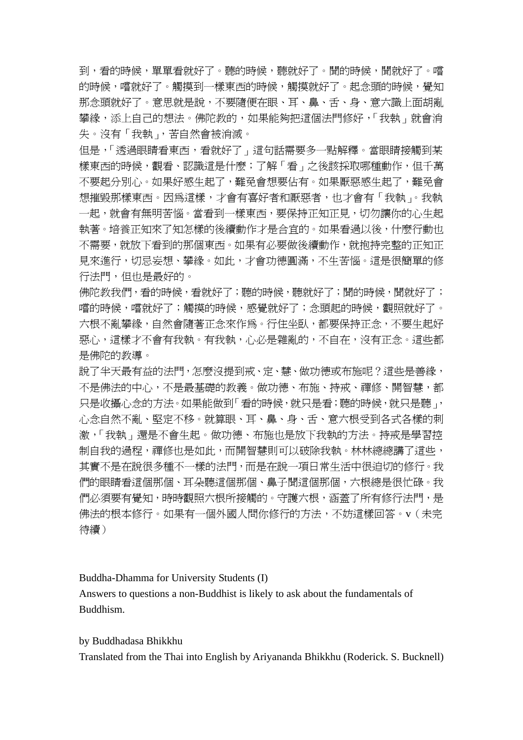到,看的時候,單單看就好了。聽的時候,聽就好了。聞的時候,聞就好了。嚐 的時候,嚐就好了。觸摸東西的時候,觸摸就好了。起念頭的時候,覺知 那念頭就好了。意思就是說,不要隨便在眼、耳、鼻、舌、身、意六識上面胡亂 攀緣,添上自己的想法。佛陀教的,如果能夠把這個法門修好,「我執」就會消 失。沒有「我執」,苦自然會被消滅。

但是,「透過眼睛看東西,看就好了」這句話需要多一點解釋。當眼睛接觸到某 樣東西的時候,觀看、認識這是什麼;了解「看」之後該採取哪種動作,但千萬 不要起分別心。如果好感生起了,難免會想要佔有。如果厭惡感生起了,難免會 想摧毀那樣東西。因為這樣,才會有喜好者和厭惡者,也才會有「我執」。我執 一起,就會有無明苦惱。當看到一樣東西,要保持正知正見,切勿讓你的心生起 執著。培養正知來了知怎樣的後續動作才是合宜的。如果看過以後,什麼行動也 不需要,就放下看到的那個東西。如果有必要做後續動作,就抱持完整的正知正 見來進行,切忌妄想、攀緣。如此,才會功德圓滿,不生苦惱。這是很簡單的修 行法門,但也是最好的。

佛陀教我們,看的時候,看就好了;聽的時候,聽就好了;聞的時候,聞就好了; 嚐的時候,嚐就好了;觸摸的時候,感覺就好了;念頭起的時候,觀照就好了。 六根不亂攀緣,自然會隨著正念來作為。行住坐臥,都要保持正念,不要生起好 惡心,這樣才不會有我執。有我執,心必是雜亂的,不自在,沒有正念。這些都 是佛陀的教導。

說了半天最有益的法門,怎麼沒提到戒、定、慧、做功德或布施呢?這些是善緣, 不是佛法的中心,不是最基礎的教義。做功德、布施、持戒、禪修、開智慧,都 只是收攝心念的方法。如果能做到「看的時候,就只是看;聽的時候,就只是聽」, 心念自然不亂、堅定不移。就算眼、耳、鼻、身、舌、意六根受到各式各樣的刺 激,「我執」還是不會生起。做功德、布施也是放下我執的方法。持戒是學習控 制自我的過程,禪修也是如此,而開智慧則可以破除我執。林林總總講了這些, 其實不是在說很多種不一樣的法門,而是在說一項日常生活中很迫切的修行。我 們的眼睛看這個那個、耳朵聽這個那個、鼻子聞這個那個,六根總是很忙碌。我 們必須要有覺知,時時觀照六根所接觸的。守護六根,涵蓋了所有修行法門,是 佛法的根本修行。如果有一個外國人問你修行的方法,不妨這樣回答。v(未完 待續)

### Buddha-Dhamma for University Students (I)

Answers to questions a non-Buddhist is likely to ask about the fundamentals of Buddhism.

### by Buddhadasa Bhikkhu

Translated from the Thai into English by Ariyananda Bhikkhu (Roderick. S. Bucknell)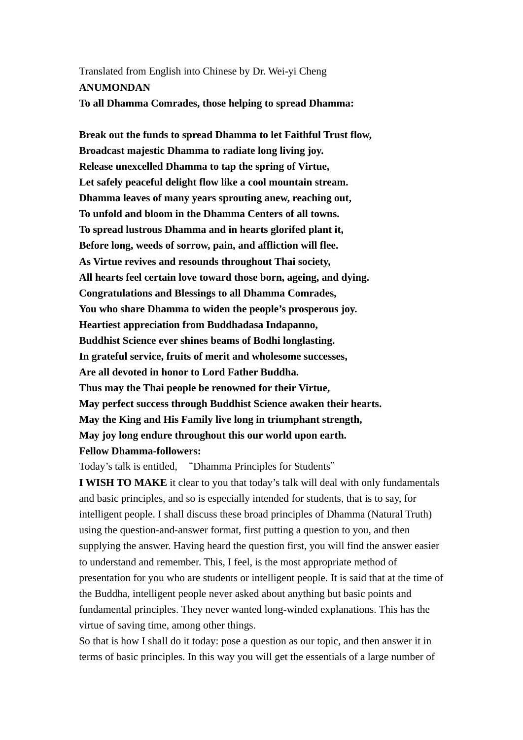Translated from English into Chinese by Dr. Wei-yi Cheng **ANUMONDAN To all Dhamma Comrades, those helping to spread Dhamma:** 

**Break out the funds to spread Dhamma to let Faithful Trust flow, Broadcast majestic Dhamma to radiate long living joy. Release unexcelled Dhamma to tap the spring of Virtue, Let safely peaceful delight flow like a cool mountain stream. Dhamma leaves of many years sprouting anew, reaching out, To unfold and bloom in the Dhamma Centers of all towns. To spread lustrous Dhamma and in hearts glorifed plant it, Before long, weeds of sorrow, pain, and affliction will flee. As Virtue revives and resounds throughout Thai society, All hearts feel certain love toward those born, ageing, and dying. Congratulations and Blessings to all Dhamma Comrades, You who share Dhamma to widen the people's prosperous joy. Heartiest appreciation from Buddhadasa Indapanno, Buddhist Science ever shines beams of Bodhi longlasting. In grateful service, fruits of merit and wholesome successes, Are all devoted in honor to Lord Father Buddha. Thus may the Thai people be renowned for their Virtue, May perfect success through Buddhist Science awaken their hearts. May the King and His Family live long in triumphant strength, May joy long endure throughout this our world upon earth. Fellow Dhamma-followers:**

Today's talk is entitled, "Dhamma Principles for Students"

**I WISH TO MAKE** it clear to you that today's talk will deal with only fundamentals and basic principles, and so is especially intended for students, that is to say, for intelligent people. I shall discuss these broad principles of Dhamma (Natural Truth) using the question-and-answer format, first putting a question to you, and then supplying the answer. Having heard the question first, you will find the answer easier to understand and remember. This, I feel, is the most appropriate method of presentation for you who are students or intelligent people. It is said that at the time of the Buddha, intelligent people never asked about anything but basic points and fundamental principles. They never wanted long-winded explanations. This has the virtue of saving time, among other things.

So that is how I shall do it today: pose a question as our topic, and then answer it in terms of basic principles. In this way you will get the essentials of a large number of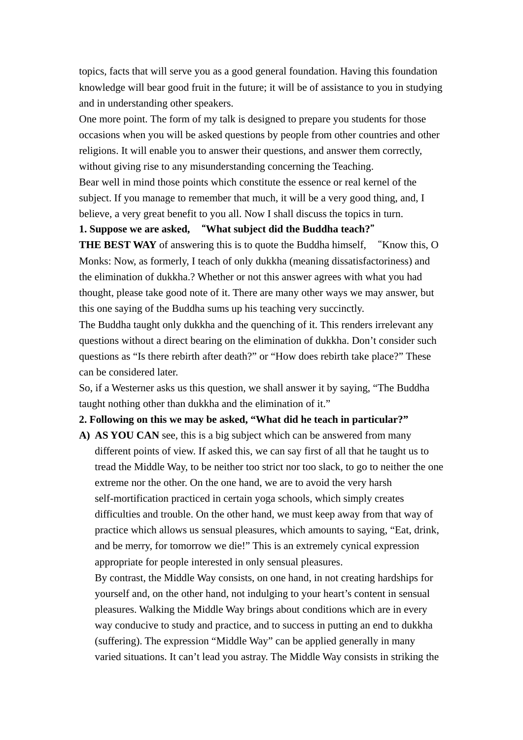topics, facts that will serve you as a good general foundation. Having this foundation knowledge will bear good fruit in the future; it will be of assistance to you in studying and in understanding other speakers.

One more point. The form of my talk is designed to prepare you students for those occasions when you will be asked questions by people from other countries and other religions. It will enable you to answer their questions, and answer them correctly, without giving rise to any misunderstanding concerning the Teaching.

Bear well in mind those points which constitute the essence or real kernel of the subject. If you manage to remember that much, it will be a very good thing, and, I believe, a very great benefit to you all. Now I shall discuss the topics in turn.

## **1. Suppose we are asked,** "**What subject did the Buddha teach?**"

**THE BEST WAY** of answering this is to quote the Buddha himself, "Know this, O Monks: Now, as formerly, I teach of only dukkha (meaning dissatisfactoriness) and the elimination of dukkha.? Whether or not this answer agrees with what you had thought, please take good note of it. There are many other ways we may answer, but this one saying of the Buddha sums up his teaching very succinctly.

The Buddha taught only dukkha and the quenching of it. This renders irrelevant any questions without a direct bearing on the elimination of dukkha. Don't consider such questions as "Is there rebirth after death?" or "How does rebirth take place?" These can be considered later.

So, if a Westerner asks us this question, we shall answer it by saying, "The Buddha taught nothing other than dukkha and the elimination of it."

### **2. Following on this we may be asked, "What did he teach in particular?"**

**A) AS YOU CAN** see, this is a big subject which can be answered from many different points of view. If asked this, we can say first of all that he taught us to tread the Middle Way, to be neither too strict nor too slack, to go to neither the one extreme nor the other. On the one hand, we are to avoid the very harsh self-mortification practiced in certain yoga schools, which simply creates difficulties and trouble. On the other hand, we must keep away from that way of practice which allows us sensual pleasures, which amounts to saying, "Eat, drink, and be merry, for tomorrow we die!" This is an extremely cynical expression appropriate for people interested in only sensual pleasures.

By contrast, the Middle Way consists, on one hand, in not creating hardships for yourself and, on the other hand, not indulging to your heart's content in sensual pleasures. Walking the Middle Way brings about conditions which are in every way conducive to study and practice, and to success in putting an end to dukkha (suffering). The expression "Middle Way" can be applied generally in many varied situations. It can't lead you astray. The Middle Way consists in striking the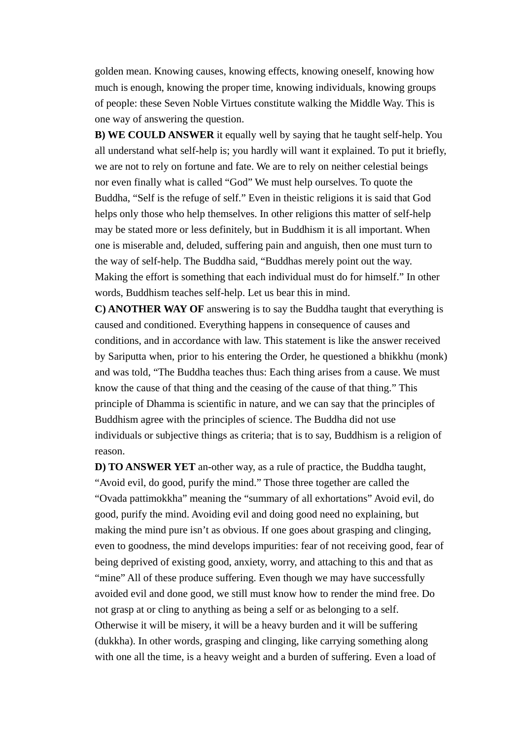golden mean. Knowing causes, knowing effects, knowing oneself, knowing how much is enough, knowing the proper time, knowing individuals, knowing groups of people: these Seven Noble Virtues constitute walking the Middle Way. This is one way of answering the question.

**B) WE COULD ANSWER** it equally well by saying that he taught self-help. You all understand what self-help is; you hardly will want it explained. To put it briefly, we are not to rely on fortune and fate. We are to rely on neither celestial beings nor even finally what is called "God" We must help ourselves. To quote the Buddha, "Self is the refuge of self." Even in theistic religions it is said that God helps only those who help themselves. In other religions this matter of self-help may be stated more or less definitely, but in Buddhism it is all important. When one is miserable and, deluded, suffering pain and anguish, then one must turn to the way of self-help. The Buddha said, "Buddhas merely point out the way. Making the effort is something that each individual must do for himself." In other words, Buddhism teaches self-help. Let us bear this in mind.

**C) ANOTHER WAY OF** answering is to say the Buddha taught that everything is caused and conditioned. Everything happens in consequence of causes and conditions, and in accordance with law. This statement is like the answer received by Sariputta when, prior to his entering the Order, he questioned a bhikkhu (monk) and was told, "The Buddha teaches thus: Each thing arises from a cause. We must know the cause of that thing and the ceasing of the cause of that thing." This principle of Dhamma is scientific in nature, and we can say that the principles of Buddhism agree with the principles of science. The Buddha did not use individuals or subjective things as criteria; that is to say, Buddhism is a religion of reason.

**D) TO ANSWER YET** an-other way, as a rule of practice, the Buddha taught, "Avoid evil, do good, purify the mind." Those three together are called the "Ovada pattimokkha" meaning the "summary of all exhortations" Avoid evil, do good, purify the mind. Avoiding evil and doing good need no explaining, but making the mind pure isn't as obvious. If one goes about grasping and clinging, even to goodness, the mind develops impurities: fear of not receiving good, fear of being deprived of existing good, anxiety, worry, and attaching to this and that as "mine" All of these produce suffering. Even though we may have successfully avoided evil and done good, we still must know how to render the mind free. Do not grasp at or cling to anything as being a self or as belonging to a self. Otherwise it will be misery, it will be a heavy burden and it will be suffering (dukkha). In other words, grasping and clinging, like carrying something along with one all the time, is a heavy weight and a burden of suffering. Even a load of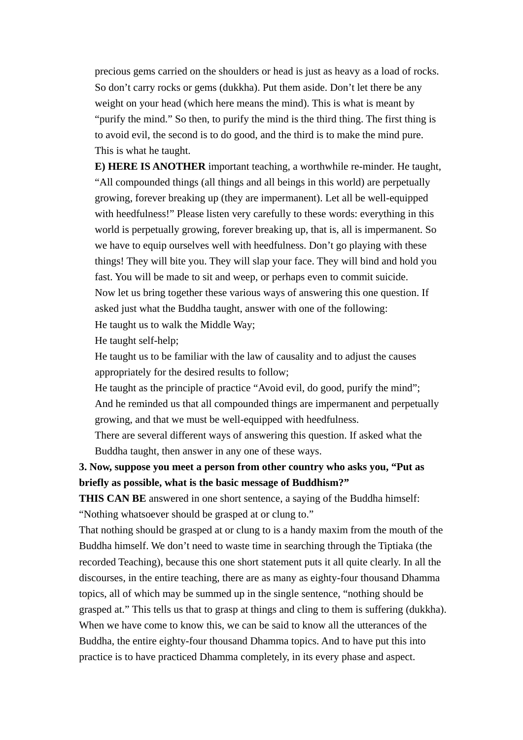precious gems carried on the shoulders or head is just as heavy as a load of rocks. So don't carry rocks or gems (dukkha). Put them aside. Don't let there be any weight on your head (which here means the mind). This is what is meant by "purify the mind." So then, to purify the mind is the third thing. The first thing is to avoid evil, the second is to do good, and the third is to make the mind pure. This is what he taught.

**E) HERE IS ANOTHER** important teaching, a worthwhile re-minder. He taught, "All compounded things (all things and all beings in this world) are perpetually growing, forever breaking up (they are impermanent). Let all be well-equipped with heedfulness!" Please listen very carefully to these words: everything in this world is perpetually growing, forever breaking up, that is, all is impermanent. So we have to equip ourselves well with heedfulness. Don't go playing with these things! They will bite you. They will slap your face. They will bind and hold you fast. You will be made to sit and weep, or perhaps even to commit suicide. Now let us bring together these various ways of answering this one question. If asked just what the Buddha taught, answer with one of the following: He taught us to walk the Middle Way;

He taught self-help;

He taught us to be familiar with the law of causality and to adjust the causes appropriately for the desired results to follow;

He taught as the principle of practice "Avoid evil, do good, purify the mind"; And he reminded us that all compounded things are impermanent and perpetually growing, and that we must be well-equipped with heedfulness.

There are several different ways of answering this question. If asked what the Buddha taught, then answer in any one of these ways.

# **3. Now, suppose you meet a person from other country who asks you, "Put as briefly as possible, what is the basic message of Buddhism?"**

**THIS CAN BE** answered in one short sentence, a saying of the Buddha himself: "Nothing whatsoever should be grasped at or clung to."

That nothing should be grasped at or clung to is a handy maxim from the mouth of the Buddha himself. We don't need to waste time in searching through the Tiptiaka (the recorded Teaching), because this one short statement puts it all quite clearly. In all the discourses, in the entire teaching, there are as many as eighty-four thousand Dhamma topics, all of which may be summed up in the single sentence, "nothing should be grasped at." This tells us that to grasp at things and cling to them is suffering (dukkha). When we have come to know this, we can be said to know all the utterances of the Buddha, the entire eighty-four thousand Dhamma topics. And to have put this into practice is to have practiced Dhamma completely, in its every phase and aspect.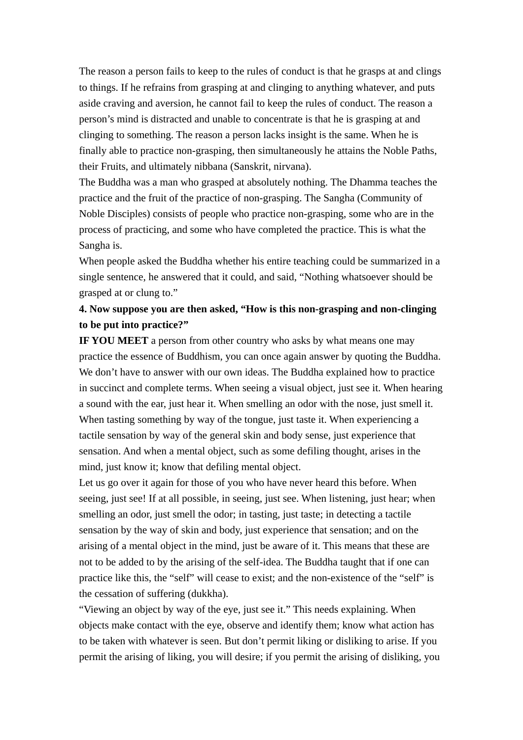The reason a person fails to keep to the rules of conduct is that he grasps at and clings to things. If he refrains from grasping at and clinging to anything whatever, and puts aside craving and aversion, he cannot fail to keep the rules of conduct. The reason a person's mind is distracted and unable to concentrate is that he is grasping at and clinging to something. The reason a person lacks insight is the same. When he is finally able to practice non-grasping, then simultaneously he attains the Noble Paths, their Fruits, and ultimately nibbana (Sanskrit, nirvana).

The Buddha was a man who grasped at absolutely nothing. The Dhamma teaches the practice and the fruit of the practice of non-grasping. The Sangha (Community of Noble Disciples) consists of people who practice non-grasping, some who are in the process of practicing, and some who have completed the practice. This is what the Sangha is.

When people asked the Buddha whether his entire teaching could be summarized in a single sentence, he answered that it could, and said, "Nothing whatsoever should be grasped at or clung to."

## **4. Now suppose you are then asked, "How is this non-grasping and non-clinging to be put into practice?"**

**IF YOU MEET** a person from other country who asks by what means one may practice the essence of Buddhism, you can once again answer by quoting the Buddha. We don't have to answer with our own ideas. The Buddha explained how to practice in succinct and complete terms. When seeing a visual object, just see it. When hearing a sound with the ear, just hear it. When smelling an odor with the nose, just smell it. When tasting something by way of the tongue, just taste it. When experiencing a tactile sensation by way of the general skin and body sense, just experience that sensation. And when a mental object, such as some defiling thought, arises in the mind, just know it; know that defiling mental object.

Let us go over it again for those of you who have never heard this before. When seeing, just see! If at all possible, in seeing, just see. When listening, just hear; when smelling an odor, just smell the odor; in tasting, just taste; in detecting a tactile sensation by the way of skin and body, just experience that sensation; and on the arising of a mental object in the mind, just be aware of it. This means that these are not to be added to by the arising of the self-idea. The Buddha taught that if one can practice like this, the "self" will cease to exist; and the non-existence of the "self" is the cessation of suffering (dukkha).

"Viewing an object by way of the eye, just see it." This needs explaining. When objects make contact with the eye, observe and identify them; know what action has to be taken with whatever is seen. But don't permit liking or disliking to arise. If you permit the arising of liking, you will desire; if you permit the arising of disliking, you